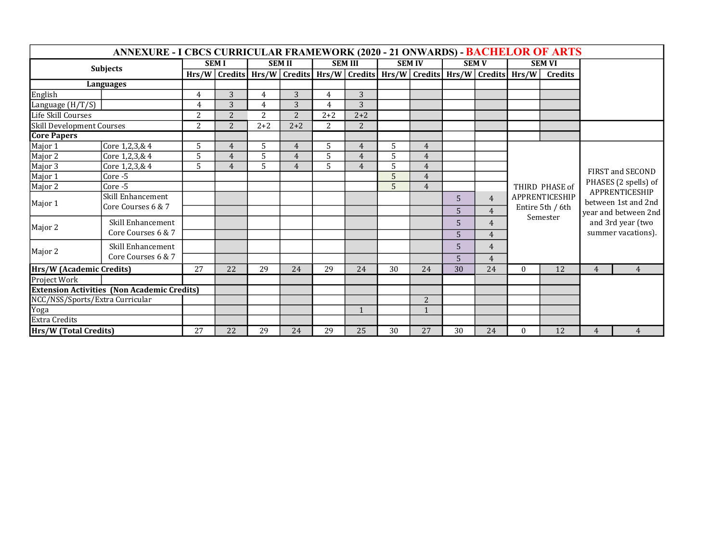| ANNEXURE - I CBCS CURRICULAR FRAMEWORK (2020 - 21 ONWARDS) - BACHELOR OF ARTS |                    |                |                                                                                                 |               |                |                |                |               |                |                |                |                                                                  |                |                                                                                                                                                      |                |
|-------------------------------------------------------------------------------|--------------------|----------------|-------------------------------------------------------------------------------------------------|---------------|----------------|----------------|----------------|---------------|----------------|----------------|----------------|------------------------------------------------------------------|----------------|------------------------------------------------------------------------------------------------------------------------------------------------------|----------------|
| <b>Subjects</b>                                                               |                    | <b>SEMI</b>    |                                                                                                 | <b>SEM II</b> |                | <b>SEM III</b> |                | <b>SEM IV</b> |                | <b>SEM V</b>   |                | <b>SEM VI</b>                                                    |                |                                                                                                                                                      |                |
|                                                                               |                    |                | Hrs/W   Credits   Hrs/W   Credits   Hrs/W   Credits   Hrs/W   Credits   Hrs/W   Credits   Hrs/W |               |                |                |                |               |                |                |                |                                                                  | <b>Credits</b> |                                                                                                                                                      |                |
| <b>Languages</b>                                                              |                    |                |                                                                                                 |               |                |                |                |               |                |                |                |                                                                  |                |                                                                                                                                                      |                |
| English                                                                       |                    | 4              | 3                                                                                               | 4             | 3              | 4              | 3              |               |                |                |                |                                                                  |                |                                                                                                                                                      |                |
| Language (H/T/S)                                                              |                    | 4              | 3                                                                                               | 4             | 3              | $\overline{4}$ | 3              |               |                |                |                |                                                                  |                |                                                                                                                                                      |                |
| Life Skill Courses                                                            |                    | $\overline{2}$ | 2                                                                                               | 2             | $\overline{2}$ | $2 + 2$        | $2 + 2$        |               |                |                |                |                                                                  |                |                                                                                                                                                      |                |
| Skill Development Courses                                                     |                    | 2              | $\overline{2}$                                                                                  | $2 + 2$       | $2 + 2$        | 2              | 2              |               |                |                |                |                                                                  |                |                                                                                                                                                      |                |
| <b>Core Papers</b>                                                            |                    |                |                                                                                                 |               |                |                |                |               |                |                |                |                                                                  |                |                                                                                                                                                      |                |
| Major 1                                                                       | Core 1,2,3,& 4     | 5              | 4                                                                                               | 5             | 4              | 5              | $\overline{4}$ | 5             | 4              |                |                | THIRD PHASE of<br>APPRENTICESHIP<br>Entire 5th / 6th<br>Semester |                |                                                                                                                                                      |                |
| Major 2                                                                       | Core 1,2,3,& 4     | 5              | $\overline{4}$                                                                                  | 5             | $\overline{4}$ | 5              | $\overline{4}$ | 5             | $\overline{4}$ |                |                |                                                                  |                | FIRST and SECOND<br>PHASES (2 spells) of<br>APPRENTICESHIP<br>between 1st and 2nd<br>vear and between 2nd<br>and 3rd year (two<br>summer vacations). |                |
| Major 3                                                                       | Core 1,2,3,& 4     | $\overline{5}$ | $\overline{4}$                                                                                  | 5             | 4              | 5              | $\overline{4}$ | 5             | $\overline{4}$ |                |                |                                                                  |                |                                                                                                                                                      |                |
| Major 1                                                                       | Core-5             |                |                                                                                                 |               |                |                |                | 5             | $\overline{4}$ |                |                |                                                                  |                |                                                                                                                                                      |                |
| Major 2                                                                       | $Core - 5$         |                |                                                                                                 |               |                |                |                | 5             | 4              |                |                |                                                                  |                |                                                                                                                                                      |                |
| Major 1                                                                       | Skill Enhancement  |                |                                                                                                 |               |                |                |                |               |                | 5              | $\overline{4}$ |                                                                  |                |                                                                                                                                                      |                |
|                                                                               | Core Courses 6 & 7 |                |                                                                                                 |               |                |                |                |               |                | 5              | $\overline{4}$ |                                                                  |                |                                                                                                                                                      |                |
| Major 2                                                                       | Skill Enhancement  |                |                                                                                                 |               |                |                |                |               |                | 5              | $\overline{4}$ |                                                                  |                |                                                                                                                                                      |                |
|                                                                               | Core Courses 6 & 7 |                |                                                                                                 |               |                |                |                |               |                | $\overline{5}$ | $\overline{4}$ |                                                                  |                |                                                                                                                                                      |                |
| Major 2                                                                       | Skill Enhancement  |                |                                                                                                 |               |                |                |                |               |                | $\overline{5}$ | 4              |                                                                  |                |                                                                                                                                                      |                |
|                                                                               | Core Courses 6 & 7 |                |                                                                                                 |               |                |                |                |               |                | $\overline{5}$ | $\overline{4}$ |                                                                  |                |                                                                                                                                                      |                |
| Hrs/W (Academic Credits)                                                      |                    | 27             | 22                                                                                              | 29            | 24             | 29             | 24             | 30            | 24             | 30             | 24             | $\mathbf{0}$                                                     | 12             | 4                                                                                                                                                    | $\overline{4}$ |
| Project Work                                                                  |                    |                |                                                                                                 |               |                |                |                |               |                |                |                |                                                                  |                |                                                                                                                                                      |                |
| <b>Extension Activities (Non Academic Credits)</b>                            |                    |                |                                                                                                 |               |                |                |                |               |                |                |                |                                                                  |                |                                                                                                                                                      |                |
| NCC/NSS/Sports/Extra Curricular                                               |                    |                |                                                                                                 |               |                |                |                |               | 2              |                |                |                                                                  |                |                                                                                                                                                      |                |
| Yoga                                                                          |                    |                |                                                                                                 |               |                |                | $\mathbf{1}$   |               | $\mathbf{1}$   |                |                |                                                                  |                |                                                                                                                                                      |                |
| <b>Extra Credits</b>                                                          |                    |                |                                                                                                 |               |                |                |                |               |                |                |                |                                                                  |                |                                                                                                                                                      |                |
| Hrs/W (Total Credits)                                                         |                    | 27             | 22                                                                                              | 29            | 24             | 29             | 25             | 30            | 27             | 30             | 24             | $\Omega$                                                         | 12             | 4                                                                                                                                                    | 4              |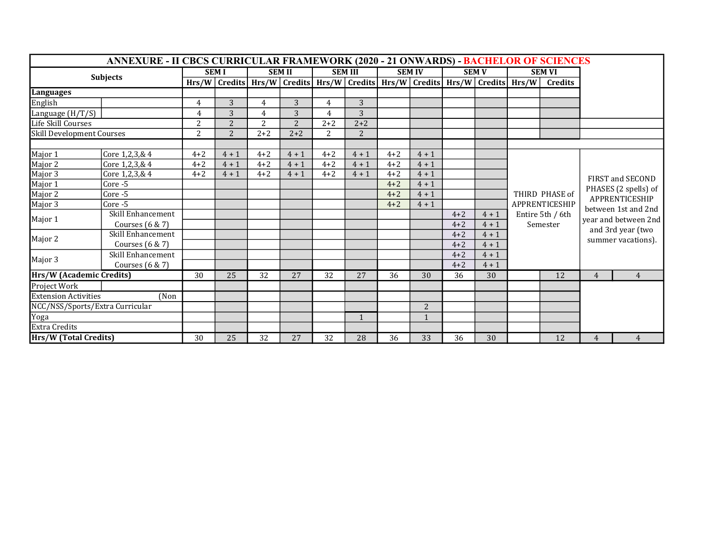| <b>ANNEXURE - II CBCS CURRICULAR FRAMEWORK (2020 - 21 ONWARDS) - BACHELOR OF SCIENCES</b> |                    |         |                                                                                                 |                |                |                |              |               |         |              |         |                                  |                  |                                                                                   |                |
|-------------------------------------------------------------------------------------------|--------------------|---------|-------------------------------------------------------------------------------------------------|----------------|----------------|----------------|--------------|---------------|---------|--------------|---------|----------------------------------|------------------|-----------------------------------------------------------------------------------|----------------|
| <b>Subjects</b>                                                                           |                    |         | <b>SEMI</b>                                                                                     | <b>SEM II</b>  |                | <b>SEM III</b> |              | <b>SEM IV</b> |         | <b>SEM V</b> |         | <b>SEM VI</b>                    |                  |                                                                                   |                |
|                                                                                           |                    |         | Hrs/W   Credits   Hrs/W   Credits   Hrs/W   Credits   Hrs/W   Credits   Hrs/W   Credits   Hrs/W |                |                |                |              |               |         |              |         |                                  | <b>Credits</b>   |                                                                                   |                |
| Languages                                                                                 |                    |         |                                                                                                 |                |                |                |              |               |         |              |         |                                  |                  |                                                                                   |                |
| English                                                                                   |                    | 4       | 3                                                                                               | $\overline{4}$ | 3              | 4              | 3            |               |         |              |         |                                  |                  |                                                                                   |                |
| Language (H/T/S)                                                                          |                    | 4       | 3                                                                                               | 4              | 3              | $\overline{4}$ | 3            |               |         |              |         |                                  |                  |                                                                                   |                |
| Life Skill Courses                                                                        |                    | 2       | 2                                                                                               | $\overline{2}$ | $\overline{2}$ | $2 + 2$        | $2 + 2$      |               |         |              |         |                                  |                  |                                                                                   |                |
| Skill Development Courses                                                                 |                    | 2       | $2^{\circ}$                                                                                     | $2 + 2$        | $2 + 2$        | 2              | 2            |               |         |              |         |                                  |                  |                                                                                   |                |
|                                                                                           |                    |         |                                                                                                 |                |                |                |              |               |         |              |         |                                  |                  |                                                                                   |                |
| Major 1                                                                                   | Core 1,2,3,& 4     | $4 + 2$ | $4 + 1$                                                                                         | $4 + 2$        | $4 + 1$        | $4 + 2$        | $4 + 1$      | $4 + 2$       | $4 + 1$ |              |         | THIRD PHASE of<br>APPRENTICESHIP |                  | FIRST and SECOND<br>PHASES (2 spells) of<br>APPRENTICESHIP<br>between 1st and 2nd |                |
| Major 2                                                                                   | Core 1,2,3,& 4     | $4 + 2$ | $4 + 1$                                                                                         | $4 + 2$        | $4 + 1$        | $4 + 2$        | $4 + 1$      | $4 + 2$       | $4 + 1$ |              |         |                                  |                  |                                                                                   |                |
| Major 3                                                                                   | Core 1,2,3,& 4     | $4 + 2$ | $4 + 1$                                                                                         | $4 + 2$        | $4 + 1$        | $4 + 2$        | $4 + 1$      | $4 + 2$       | $4 + 1$ |              |         |                                  |                  |                                                                                   |                |
| Major 1                                                                                   | Core -5            |         |                                                                                                 |                |                |                |              | $4 + 2$       | $4 + 1$ |              |         |                                  |                  |                                                                                   |                |
| Major 2                                                                                   | Core-5             |         |                                                                                                 |                |                |                |              | $4 + 2$       | $4 + 1$ |              |         |                                  |                  |                                                                                   |                |
| Major 3                                                                                   | Core-5             |         |                                                                                                 |                |                |                |              | $4 + 2$       | $4 + 1$ |              |         |                                  |                  |                                                                                   |                |
| Major 1                                                                                   | Skill Enhancement  |         |                                                                                                 |                |                |                |              |               |         | $4 + 2$      | $4 + 1$ |                                  | Entire 5th / 6th |                                                                                   |                |
|                                                                                           | Courses $(6 \& 7)$ |         |                                                                                                 |                |                |                |              |               |         | $4 + 2$      | $4 + 1$ |                                  | Semester         | year and between 2nd<br>and 3rd year (two                                         |                |
| Major 2                                                                                   | Skill Enhancement  |         |                                                                                                 |                |                |                |              |               |         | $4 + 2$      | $4 + 1$ |                                  |                  | summer vacations).                                                                |                |
|                                                                                           | Courses $(6 \& 7)$ |         |                                                                                                 |                |                |                |              |               |         | $4 + 2$      | $4 + 1$ |                                  |                  |                                                                                   |                |
| Major 3                                                                                   | Skill Enhancement  |         |                                                                                                 |                |                |                |              |               |         | $4 + 2$      | $4 + 1$ |                                  |                  |                                                                                   |                |
|                                                                                           | Courses $(6 \& 7)$ |         |                                                                                                 |                |                |                |              |               |         | $4 + 2$      | $4 + 1$ |                                  |                  |                                                                                   |                |
| Hrs/W (Academic Credits)                                                                  |                    | 30      | 25                                                                                              | 32             | 27             | 32             | 27           | 36            | 30      | 36           | 30      |                                  | 12               | $\overline{4}$                                                                    | $\overline{4}$ |
| Project Work                                                                              |                    |         |                                                                                                 |                |                |                |              |               |         |              |         |                                  |                  |                                                                                   |                |
| <b>Extension Activities</b><br>(Non                                                       |                    |         |                                                                                                 |                |                |                |              |               |         |              |         |                                  |                  |                                                                                   |                |
| NCC/NSS/Sports/Extra Curricular                                                           |                    |         |                                                                                                 |                |                |                |              |               | 2       |              |         |                                  |                  |                                                                                   |                |
| Yoga                                                                                      |                    |         |                                                                                                 |                |                |                | $\mathbf{1}$ |               | 1       |              |         |                                  |                  |                                                                                   |                |
| <b>Extra Credits</b>                                                                      |                    |         |                                                                                                 |                |                |                |              |               |         |              |         |                                  |                  |                                                                                   |                |
| Hrs/W (Total Credits)                                                                     |                    | 30      | 25                                                                                              | 32             | 27             | 32             | 28           | 36            | 33      | 36           | 30      |                                  | 12               | 4                                                                                 | 4              |